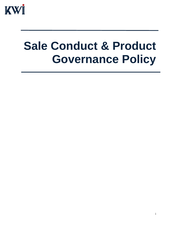

# **Sale Conduct & Product Governance Policy**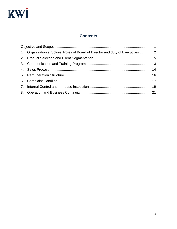# KWİ

# **Contents**

| 1. Organization structure, Roles of Board of Director and duty of Executives  2 |  |  |  |  |  |
|---------------------------------------------------------------------------------|--|--|--|--|--|
|                                                                                 |  |  |  |  |  |
|                                                                                 |  |  |  |  |  |
|                                                                                 |  |  |  |  |  |
|                                                                                 |  |  |  |  |  |
|                                                                                 |  |  |  |  |  |
|                                                                                 |  |  |  |  |  |
|                                                                                 |  |  |  |  |  |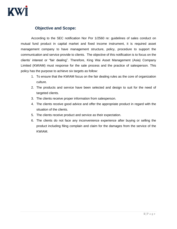

# <span id="page-2-0"></span>**Objective and Scope:**

According to the SEC notification Nor Por 1/2560 re: guidelines of sales conduct on mutual fund product in capital market and fixed income instrument, it is required asset management company to have management structure, policy, procedure to support the communication and service provide to clients. The objective of this notification is to focus on the clients' interest or "fair dealing". Therefore, King Wai Asset Management (Asia) Company Limited (KWIAM) must response for the sale process and the practice of salesperson. This policy has the purpose to achieve six targets as follow:

- 1. To ensure that the KWIAM focus on the fair dealing rules as the core of organization culture.
- 2. The products and service have been selected and design to suit for the need of targeted clients.
- 3. The clients receive proper information from salesperson.
- 4. The clients receive good advice and offer the appropriate product in regard with the situation of the clients.
- 5. The clients receive product and service as their expectation.
- 6. The clients do not face any inconvenience experience after buying or selling the product including filing complain and claim for the damages from the service of the KWIAM.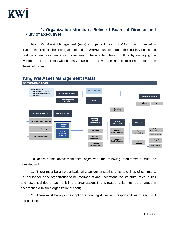

# <span id="page-3-0"></span>**1. Organization structure, Roles of Board of Director and duty of Executives**

King Wai Asset Management (Asia) Company Limited (KWIAM) has organization structure that reflects the segregation of duties. KWIAM must conform to the fiduciary duties and good corporate governance with objectives to have a fair dealing culture by managing the investment for the clients with honesty, due care and with the interest of clients prior to the interest of its own.



# **King Wai Asset Management (Asia)**

To achieve the above-mentioned objectives, the following requirements must be complied with:

1. There must be an organizational chart demonstrating units and lines of command. For personnel in the organization to be informed of and understand the structure, roles, duties and responsibilities of each unit in the organization. In this regard, units must be arranged in accordance with such organizational chart;

2. There must be a job description explaining duties and responsibilities of each unit and position;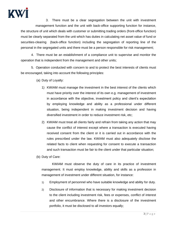

3. There must be a clear segregation between the unit with investment management function and the unit with back-office supporting function for instance, the structure of unit which deals with customer or submitting trading orders (front-office function) must be clearly separated from the unit which has duties in calculating net asset value of fund or securities-clearing (back-office function) including the segregation of reporting line of the personal in the segregated units and there must be a person responsible for risk management;

4. There must be an establishment of a compliance unit to supervise and monitor the operation that is independent from the management and other units;

5. Operation conducted with concern to and to protect the best interests of clients must be encouraged, taking into account the following principles:

- (a) Duty of Loyalty:
	- 1) KWIAM must manage the investment in the best interest of the clients which must have priority over the interest of its own e.g. management of investment in accordance with the objective, investment policy and client's expectation by employing knowledge and ability as a professional under different situation, being independent in making investment decision and having diversified investment in order to reduce investment risk, etc;
	- 2) KWIAM must treat all clients fairly and refrain from taking any action that may cause the conflict of interest except where a transaction is executed having received consent from the client or it is carried out in accordance with the rules prescribed under the law. KWIAM must also adequately disclose the related facts to client when requesting for consent to execute a transaction and such transaction must be fair to the client under that particular situation;

(b) Duty of Care:

KWIAM must observe the duty of care in its practice of investment management. It must employ knowledge, ability and skills as a profession in management of investment under different situation, for instance:

- 1) Employment of personnel who have suitable knowledge and ability for duty.
- 2) Disclosure of information that is necessary for making investment decision to the client including investment risk, fees or expenses, conflict of interest and other encumbrance. Where there is a disclosure of the investment portfolio, it must be disclosed to all investors equally;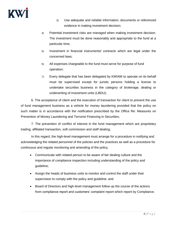

- 3) Use adequate and reliable information, documents or referenced evidence in making investment decision;
- 4) Potential investment risks are managed when making investment decision. The investment must be done reasonably and appropriate to the fund at a particular time;
- 5) Investment in financial instruments/ contracts which are legal under the concerned laws;
- 6) All expenses chargeable to the fund must serve for purpose of fund operation;
- 7) Every delegate that has been delegated by KWIAM to operate on its behalf must be supervised except for juristic persons holding a license to undertake securities business in the category of brokerage, dealing or underwriting of investment units (LBDU);

6. The acceptance of client and the execution of transaction for client to prevent the use of fund management business as a vehicle for money laundering provided that the policy on such matter is in accordance with the notification prescribed by the Office Re: Measures on Prevention of Money Laundering and Terrorist Financing in Securities;

7. The prevention of conflict of interest in the fund management which are proprietary trading, affiliated transaction, soft commission and staff dealing;

In this regard, the high-level management must arrange for a procedure in notifying and acknowledging the related personnel of the policies and the practices as well as a procedure for continuous and regular monitoring and amending of the policy.

- Communicate with related person to be aware of fair dealing culture and the importance of compliance inspection including understanding of the policy and guideline;
- Assign the heads of business units to monitor and control the staff under their supervision to comply with the policy and guideline; and
- Board of Directors and high-level management follow up the course of the actions from compliance report and customers' complaint report which report by Compliance.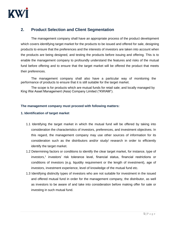

# <span id="page-6-0"></span>**2. Product Selection and Client Segmentation**

The management company shall have an appropriate process of the product development which covers identifying target market for the products to be issued and offered for sale, designing products to ensure that the preferences and the interests of investors are taken into account when the products are being designed, and testing the products before issuing and offering. This is to enable the management company to profoundly understand the features and risks of the mutual fund before offering and to ensure that the target market will be offered the product that meets their preferences.

The management company shall also have a particular way of monitoring the performance of products to ensure that it is still suitable for the target market.

The scope is for products which are mutual funds for retail sale; and locally managed by King Wai Asset Management (Asia) Company Limited ("KWIAM").

# **The management company must proceed with following matters:**

# **1. Identification of target market**

- 1.1 Identifying the target market in which the mutual fund will be offered by taking into consideration the characteristics of investors, preferences, and investment objectives. In this regard, the management company may use other sources of information for its consideration such as the distributors and/or study/ research in order to efficiently identify the target market.
- 1.2 Determining factors or conditions to identify the clear target market, for instance, type of investors,<sup>1</sup> investors' risk tolerance level, financial status, financial restrictions or conditions of investors (e.g. liquidity requirement or the length of investment), age of investors, investment experience, level of knowledge of the mutual fund etc.
- 1.3 Identifying distinctly types of investors who are not suitable for investment in the issued and offered mutual fund in order for the management company, the distributor, as well as investors to be aware of and take into consideration before making offer for sale or investing in such mutual fund.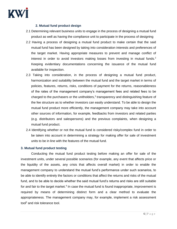

# **2. Mutual fund product design**

- 2.1 Determining relevant business units to engage in the process of designing a mutual fund product as well as having the compliance unit to participate in the process of designing
- 2.2 Having a process of designing a mutual fund product to make certain that the said mutual fund has been designed by taking into consideration interests and preferences of the target market. Having appropriate measures to prevent and manage conflict of interest in order to avoid investors making losses from investing in mutual funds.<sup>2</sup> Keeping evidentiary documentations concerning the issuance of the mutual fund available for inspection.
- 2.3 Taking into consideration, in the process of designing a mutual fund product, harmonization and suitability between the mutual fund and the target market in terms of policies, features, returns, risks, conditions of payment for the returns, reasonableness of the rates of the management company's management fees and related fees to be charged to the purchasers or the unitholders, $3$  transparency and distinguishing feature of the fee structure as to whether investors can easily understand. To be able to design the mutual fund product more efficiently, the management company may take into account other sources of information, for example, feedbacks from investors and related parties (e.g. distributors and salespersons) and the previous complaints, when designing a mutual fund product.
- 2.4 Identifying whether or not the mutual fund is considered risky/complex fund in order to be taken into account in determining a strategy for making offer for sale of investment units to be in line with the features of the mutual fund.

# **3. Mutual fund product testing**

Conducting the mutual fund product testing before making an offer for sale of the investment units, under several possible scenarios (for example, any event that affects price or the liquidity of the assets, any crisis that affects overall market) in order to enable the management company to understand the mutual fund's performance under such scenarios, to be able to identify entirely the factors or conditions that affect the returns and risks of the mutual fund, and to be able to decide whether the said mutual fund's returns and risks are still suitable for and fair to the target market.<sup>4</sup> In case the mutual fund is found inappropriate, improvement is required by means of determining distinct form and a clear method to evaluate the appropriateness. The management company may, for example, implement a risk assessment tool<sup>5</sup> and risk tolerance tool.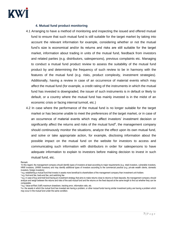

## **4. Mutual fund product monitoring**

- 4.1 Arranging to have a method of monitoring and inspecting the issued and offered mutual fund to ensure that such mutual fund is still suitable for the target market by taking into account the relevant information for example, considering whether or not the mutual fund's size is economical and/or its returns and risks are still suitable for the target market, information about trading in units of the mutual fund, feedback from investors and related parties (e.g. distributors, salespersons), previous complaints etc. Managing to conduct a mutual fund product review to assess the suitability of the mutual fund product by and determining the frequency of such review to be in harmony with the features of the mutual fund (e.g. risks, product complexity, investment strategies). Additionally, having a review in case of an occurrence of material events which may affect the mutual fund (for example, a credit rating of the instruments in which the mutual fund has invested is downgraded, the issuer of such instruments is in default or likely to default, or a country where the mutual fund has mainly invested is in the midst of an economic crisis or facing internal turmoil, etc.)
- 4.2 In case where the performance of the mutual fund is no longer suitable for the target market or has become unable to meet the preferences of the target market, or in case of an occurrence of material events which may affect investors' investment decision or significantly affect the returns and risks of the mutual fund $6$ , the management company should continuously monitor the situations, analyze the effect upon its own mutual fund, and solve or take appropriate action, for example, disclosing information about the possible impact on the mutual fund on the website for investors to access and communicating such information with distributors in order for salespersons to have adequate information to explain to investors before making decision to invest in such mutual fund, etc.

Remark:

<sup>3</sup>e.g. front-end fee, back-end fee, and switching fee

<sup>1</sup> In this regard, the management company should identify types of investors at least according to major requirements (e.g. retail investors, vulnerable investors, HNW investors, UHNW investors) and may identify additional types of investors according to the commercial practice (e.g. private wealth clients, domestic investors, foreign investors)

<sup>2</sup>e.g. establishing a mutual fund that invests in assets more beneficial to shareholders of the management company than investment unit-holders

<sup>4</sup>e.g. in case of buy-and-hold fund having an investment strategy that aims to make returns close to returns on fixed deposits, the management company should analyze and weigh between the returns and risks of the said mutual fund and the returns on the fixed deposit at the same length to find out whether they can be comparable.

<sup>5</sup>e.g. Value-at-Risk (VaR) maximum drawdown, tracking error, information ratio, etc.

<sup>6</sup> i.e. the assets in which the mutual fund has invested are having a problem, or other mutual funds having similar investment policy are having a problem which may occur in the mutual fund under the same condition.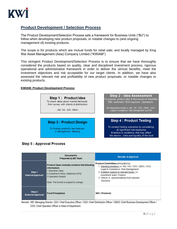

# **Product Development / Selection Process**

The Product Development/Selection Process sets a framework for Business Units ("BU") to follow when developing new product proposals, or notable changes to (and ongoing management of) existing products.

The scope is for products which are mutual funds for retail sale; and locally managed by King Wai Asset Management (Asia) Company Limited ("KWIAM")

This stringent Product Development/Selection Process is to ensure that we have thoroughly considered the products based on quality, clear and disciplined investment process, rigorous operational and administrative framework in order to deliver the utmost benefits, meet the investment objectives and risk acceptable for our target clients. In addition, we have also assessed the relevant risk and profitability of new product proposals, or notable changes to existing products.

#### **KWIAM: Product Development Process**



# **Step 5: Approval Process**

|                                    | <b>Documents</b><br>Prepared by BD Team                                                                                                                                                            | <b>Review &amp; Approval</b>                                                                                                                                                                                                                                                         |
|------------------------------------|----------------------------------------------------------------------------------------------------------------------------------------------------------------------------------------------------|--------------------------------------------------------------------------------------------------------------------------------------------------------------------------------------------------------------------------------------------------------------------------------------|
| Step 1<br>Internal Approval        | <b>Product Spec normally contains the following</b><br>information.<br>1. Business Case.<br>2. Investment Policy Statement (IPS)<br>3. Operation Details<br>Note: The format is subject to change. | <b>Product Committee participated by</b><br>1. Standing members i.e. MD, CIO, CDO, CBDO, COO,<br>Legal & Compliance, Risk Management<br>2. Invitation (based on relevant issue) i.e.<br>Investment team. Finance<br>3. Others i.e. representatives from relevant<br><b>functions</b> |
| Step 2<br><b>External Approval</b> | <b>Fund Prospectus</b>                                                                                                                                                                             | <b>SEC (Thailand)</b>                                                                                                                                                                                                                                                                |

Remark: MD: Managing Director, CEO: Chief Executive Officer / CDO: Chief Distribution Officer / CBDO: Chief Business Development Officer / COO: Chief Operation Officer or Head of Department.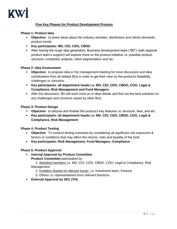

# **Five Key Phases for Product Development Process**

## **Phase 1: Product Idea**

- **Objective**: to share ideas about the industry activities, distributors and clients demands, product trends
- **Key participants: MD, CIO, CDO, CBDO**
- After having the rough idea generation, Business Development team ("BD") (with regional product team's support) will explore more on the product initiative i.e. possible product structure, competitor analysis, client segmentation and etc.

## **Phase 2: Idea Assessment**

- **Objective**: to propose idea in the management meeting for more discussion and idea contributions from all related BUs in order to get their view on the product's feasibility, challenges or concerns.
- **Key participants: all department heads i.e. MD, CIO, CDO, CBDO, COO, Legal & Compliance, Risk Management and Fund Managers**
- **EXECT** After the discussion, BD will work more on in-dept details and find out the best solutions on any challenges and concerns raised by other BUs.

## **Phase 3: Product Design**

- **Objective**: to discuss and finalise the product's key features i.e. structure, fees, and etc.
- **Key participants: all department heads i.e. MD, CIO, CDO, CBDO, COO, Legal & Compliance, Risk Management**

### **Phase 4: Product Testing**

- **Objective**: To conduct testing scenarios by considering all significant risk exposures & factors or conditions that may affect the returns, risks and liquidity of the fund
- **Key participants: Risk Management, Fund Managers, Compliance**

### **Phase 5: Product Approval**

▪ **Internal Approval by Product Committee**

**Product Committee** participated by

 1. Standing members i.e. MD, CIO, CDO, CBDO, COO, Legal & Compliance, Risk Management

2. Invitation (based on relevant issue) i.e. Investment team, Finance

- 3. Others i.e. representatives from relevant functions
- **External Approval by SEC (TH)**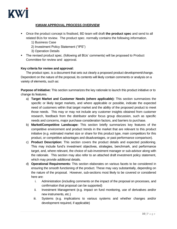

# **KWIAM APPROVAL PROCESS OVERVIEW**

- Once the product concept is finalised, BD team will draft **the product spec** and send to all related BUs for review. The product spec. normally contains the following information.
	- 1) Business Case
	- 2) Investment Policy Statement ("IPS")
	- 3) Operation Details
- The revised product spec. (following all BUs' comments) will be proposed to Product Committee for review and approval.

## **Key criteria for review and approval:**

The product spec. is a document that sets out clearly a proposed product development/change. Dependent on the nature of the proposal, its contents will likely contain comments or analysis on a variety of elements, such as:

**Purpose of Initiative:** This section summarizes the key rationale to launch this product initiative or to change its features.

- a) **Target Market and Customer Needs (where applicable):** This section summarizes the specific or likely target markets, and where applicable or possible, indicate the expected need of customers within that target market and the ability of the proposed product to meet those needs. This may or may not include any customer insights obtained from customer research, feedback from the distributor and/or focus group discussion, such as specific needs and concerns, major purchase consideration factors, and barriers to purchase.
- b) **Market/Competitive Landscape:** This section briefly summarizes key features of the competitive environment and product trends in the market that are relevant to this product initiative (e.g. estimated market size or share for this product type, main competitors for this product, or competitive advantages and disadvantages, or past performance comparison).
- c) **Product Description:** This section covers the product details and expected positioning. This may include fund's investment objectives, strategies, benchmark, and performance target, and, where relevant, the choice of sub-investment manager or sub-advisor along with the rationale. This section may also refer to an attached draft investment policy statement, which may provide additional details.
- d) **Operational Requirements:** This section elaborates on various facets to be considered in ensuring the smooth functioning of the product. These may vary substantially, depending on the nature of the proposal. However, sub-sections most likely to be covered or considered here are:
	- i. Administration (including comments on the impact of the proposal on processes, and confirmation that proposal can be supported)
	- ii. Investment Management (e.g. impact on fund monitoring, use of derivatives and/or new instruments, etc.)
	- iii. Systems (e.g. implications to various systems and whether changes and/or development required, if applicable)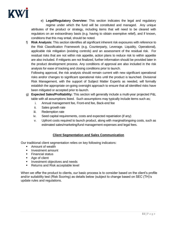

e) **Legal/Regulatory Overview:** This section indicates the legal and regulatory regime under which the fund will be constituted and managed. Any unique attributes of the product or strategy, including items that will need to be cleared with regulators on an extraordinary basis (e.g. having to obtain exemptive relief), and if known, conditions that this may entail, should be noted.

f) **Risk Analysis:** This section identifies all significant inherent risk exposures with reference to the Risk Classification Framework (e.g. Counterparty, Leverage. Liquidity, Operational), applicable risk mitigation (existing controls) and an assessment of the residual risk. For residual risks that are not within risk appetite, action plans to reduce risk to within appetite are also included. If mitigants are not finalized, further information should be provided later in the product development process. Any conditions of approval are also included in the risk analysis for ease of tracking and closing conditions prior to launch.

Following approval, the risk analysis should remain current with new significant operational risks and/or changes to significant operational risks until the product is launched. Divisional Risk Management, with the support of Subject Matter Experts as needed, will formally establish the appropriate on-going oversight approach to ensure that all identified risks have been mitigated or accepted prior to launch.

- g) **Expected Sales/Profitability:** This section will generally include a multi-year projected P&L table with all assumptions listed. Such assumptions may typically include items such as;
	- i. Annual management fee, Front-end fee, Back-end fee
	- ii. Sales growth rate
	- iii. Redemption rate
	- iv. Seed capital requirements, costs and expected repatriation (if any)
	- v. Upfront costs required to launch product, along with marginal/ongoing costs, such as estimated sales/marketing/fund management expenses and legal fees.

# **Client Segmentation and Sales Communication**

Our traditional client segmentation relies on key following indicators:

- Amount of wealth
- **■** Investment amount
- **Exercial status**
- Age of client
- Investment objectives and needs
- Returns and Risk acceptable level

When we offer the product to clients, our basic process is to consider based on the client's profile and/or suitability test (Risk Scoring) as details below (subject to change based on SEC (TH)'s update rules and regulations.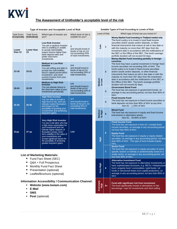

# **The Assessment of Unitholder's acceptable level of the risk**

#### **Type of Investor and Acceptable Level of Risk**

#### **Suitable Types of Fund According to Levels of Risk**

|                                                                                                                                                                                                                                                                    |                                                                                                                                                                                                                                                                                                                                                   |                                                                                                                                                                                                                  |                                                                                                         |      | Level of Risk     |                                                                                                                                                                                                                                                                                                                                                                                     | Which type of fund can you invest in?                                                                                                                                                                                                                                                                                                                                                                                                            |
|--------------------------------------------------------------------------------------------------------------------------------------------------------------------------------------------------------------------------------------------------------------------|---------------------------------------------------------------------------------------------------------------------------------------------------------------------------------------------------------------------------------------------------------------------------------------------------------------------------------------------------|------------------------------------------------------------------------------------------------------------------------------------------------------------------------------------------------------------------|---------------------------------------------------------------------------------------------------------|------|-------------------|-------------------------------------------------------------------------------------------------------------------------------------------------------------------------------------------------------------------------------------------------------------------------------------------------------------------------------------------------------------------------------------|--------------------------------------------------------------------------------------------------------------------------------------------------------------------------------------------------------------------------------------------------------------------------------------------------------------------------------------------------------------------------------------------------------------------------------------------------|
| Total Score<br>(Corporate)                                                                                                                                                                                                                                         | <b>Total Score</b><br>(Individual)                                                                                                                                                                                                                                                                                                                | Which type of investor are<br>you?                                                                                                                                                                               | Which level of risk is<br>suitable for you?                                                             |      |                   | $\mathbf{1}$<br>$\mathbf{2}$                                                                                                                                                                                                                                                                                                                                                        | Money Market Fund investing in Thailand market only                                                                                                                                                                                                                                                                                                                                                                                              |
| Lower<br>than 13                                                                                                                                                                                                                                                   | Lower than<br>15                                                                                                                                                                                                                                                                                                                                  | <b>Low Risk Investor</b><br>You are a cautious investor<br>who is unwilling or unable<br>to accept risk/volatility,<br>expect returns higher than<br>bank deposit rates and<br>prefer short-term<br>investments. | 1<br>and should invest in<br>levels of risk at 2-8,<br>not exceeding 20%<br>of total investments.       | Mo⊤  | Medium<br>to Low  |                                                                                                                                                                                                                                                                                                                                                                                     | The fund's policy is to invest in local fixed income<br>securities and/or assets and/or deposits, or other<br>financial instruments that mature at call or due date or<br>with the maturity no more than 397 days from the<br>investment date in accordance with the notifications of<br>the SEC or the Office of the SEC. The fund's average<br>portfolio duration will not exceed 92 days.<br>Money Market Fund investing partially in foreign |
| $13 - 18$                                                                                                                                                                                                                                                          | $15 - 21$                                                                                                                                                                                                                                                                                                                                         | <b>Medium to Low Risk</b><br><b>Investor</b><br>You are willing and able to<br>accept low risk/volatility,<br>favour capital preservation<br>investment, and need<br>current income from your<br>investments.    | $1 - 4$<br>and should invest in<br>levels of risk at 5-8.<br>not exceeding 20% of<br>total investments. |      |                   |                                                                                                                                                                                                                                                                                                                                                                                     | countries<br>The fund may have a partial investment in foreign fixed<br>income securities not exceeding 50% of NAV. The<br>fund's policy is to invest in fixed income securities<br>and/or assets and/or deposits, or other financial<br>instruments that mature at call or due date or with the<br>maturity no more than 397 days from the investment<br>date in accordance with the notifications of the SEC or                                |
|                                                                                                                                                                                                                                                                    |                                                                                                                                                                                                                                                                                                                                                   | <b>Medium to High Risk</b><br><b>Investor</b>                                                                                                                                                                    | $1-5$                                                                                                   |      |                   |                                                                                                                                                                                                                                                                                                                                                                                     | the Office of the SEC. The fund's average portfolio<br>duration will not exceed 92 days.                                                                                                                                                                                                                                                                                                                                                         |
| $19 - 24$                                                                                                                                                                                                                                                          | $22 - 29$                                                                                                                                                                                                                                                                                                                                         | You can tolerate downs in<br>the short-term value of your<br>investments periodically.                                                                                                                           | and should invest in<br>levels of risk at 6-8,<br>not exceeding 20% of<br>total investments.            |      |                   | 3                                                                                                                                                                                                                                                                                                                                                                                   | <b>Government Bond Fund</b><br>The fund has net exposure in government bonds, on<br>average in any accounting period, not less than 80% of<br>NAV.                                                                                                                                                                                                                                                                                               |
| 25-30                                                                                                                                                                                                                                                              | 30-36                                                                                                                                                                                                                                                                                                                                             | <b>High Risk Investor</b><br>You are able to accept a<br>high level of risk, and can<br>tolerate market fluctuation<br>and losses for the                                                                        | $1 - 7$<br>and should invest in<br>levels of risk at 8, not<br>exceeding 20% of                         |      |                   | $\overline{4}$                                                                                                                                                                                                                                                                                                                                                                      | <b>Fixed Income Fund</b><br>The fund has net exposure in fixed income securities or<br>bank deposits not less than 80% of NAV at any time.<br>Non-IG : $<$ 20% of NAV                                                                                                                                                                                                                                                                            |
|                                                                                                                                                                                                                                                                    |                                                                                                                                                                                                                                                                                                                                                   | possibility of growing your<br>investments and achieving<br>long-term gains.                                                                                                                                     | total investments.                                                                                      |      | Medium<br>to High | 5                                                                                                                                                                                                                                                                                                                                                                                   | <b>Mixed Fund</b><br>The fund has net exposure in equity and fixed income<br>instruments or alternative assets.<br>Non-IG: 20-80% of NAV                                                                                                                                                                                                                                                                                                         |
| 31up                                                                                                                                                                                                                                                               | Very High Risk Investor<br>You are a risk taker who has<br>a high return expectation for<br>your investment and can<br>tolerate higher degrees of<br>37 up<br>fluctuation (sharp, short-<br>term volatility) in the value of<br>your investments and<br>accept significant losses for<br>the possibility of achieving<br>greater long-term gains. | $1 - 8 +$                                                                                                                                                                                                        |                                                                                                         | High | $6\phantom{1}$    | <b>Fixed Income Fund</b><br>The fund has net exposure in Non-IG / unrated fixed<br>income securities, on average in any accounting period,<br>not less than 80% of NAV.<br><b>Equity Fund</b><br>The fund has net exposure in equity or equity-related<br>securities, on average in any accounting period, not less<br>than 80% of NAV. This type of fund includes Equity-<br>FIFs. |                                                                                                                                                                                                                                                                                                                                                                                                                                                  |
| <b>List of Marketing Materials:</b>                                                                                                                                                                                                                                |                                                                                                                                                                                                                                                                                                                                                   |                                                                                                                                                                                                                  |                                                                                                         |      |                   | $\overline{7}$                                                                                                                                                                                                                                                                                                                                                                      | <b>Sector Fund</b><br>The fund has net exposure in equity securities of some<br>specific sectors or entirely or predominantly invest in a<br>single sector, on average in any accounting period, not<br>less than 80% of NAV.                                                                                                                                                                                                                    |
| Fund Fact Sheet (SEC)<br>Q&A + Full Prospectus<br>п<br>Monthly Fund Fact Sheet<br>Presentation (optional)<br>Leaflet/Brochure (optional)<br>п<br><b>Information Accessibility / Communication Channel:</b><br>Website (www.kwiam.com)<br>E-Mail<br><b>SMS</b><br>٠ |                                                                                                                                                                                                                                                                                                                                                   |                                                                                                                                                                                                                  |                                                                                                         |      | <b>Very High</b>  | 8                                                                                                                                                                                                                                                                                                                                                                                   | <b>Alternative Investment Fund</b><br>The fund has net exposure in alternative investments or<br>have sophisticated structures, e.g. REITs / infrastructure<br>fund / property fund / commodities / gold funds / oil<br>funds or Structured Notes (non-capital protection), on<br>average in any accounting period, not less than 80% of<br><b>NAV</b>                                                                                           |
|                                                                                                                                                                                                                                                                    |                                                                                                                                                                                                                                                                                                                                                   |                                                                                                                                                                                                                  |                                                                                                         |      | Extremely<br>tigh | $8+$                                                                                                                                                                                                                                                                                                                                                                                | Fund with significant risk from investment<br>The fund significantly invests in derivatives or has<br>borrowings / repo for investments and short selling                                                                                                                                                                                                                                                                                        |

▪ **Post** (optional)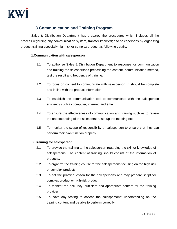

# <span id="page-14-0"></span>**3.Communication and Training Program**

Sales & Distribution Department has prepared the procedures which includes all the process regarding any communication system, transfer knowledge to salespersons by organizing product training especially high risk or complex product as following details:

# **1.Communication with salesperson**

- 1.1 To authorise Sales & Distribution Department to response for communication and training the salespersons prescribing the content, communication method, test the result and frequency of training.
- 1.2 To focus on content to communicate with salesperson. It should be complete and in line with the product information.
- 1.3 To establish the communication tool to communicate with the salesperson efficiency such as computer, internet, and email.
- 1.4 To ensure the effectiveness of communication and training such as to review the understanding of the salesperson, set up the meeting etc.
- 1.5 To monitor the scope of responsibility of salesperson to ensure that they can perform their own function properly.

# **2.Training for salesperson**

- 2.1 To provide the training to the salesperson regarding the skill or knowledge of salespersons. The content of training should consist of the information of products.
- 2.2 To organize the training course for the salespersons focusing on the high risk or complex products.
- 2.3 To set the practice lesson for the salespersons and may prepare script for complex product or high-risk product.
- 2.4 To monitor the accuracy, sufficient and appropriate content for the training provider.
- 2.5 To have any testing to assess the salespersons' understanding on the training content and be able to perform correctly.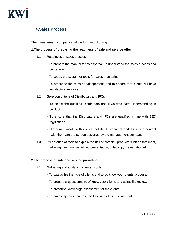

# <span id="page-15-0"></span>**4.Sales Process**

The management company shall perform as following:

# **1.The process of preparing the readiness of sale and service offer**

- 1.1 Readiness of sales process
	- To prepare the manual for salesperson to understand the sales process and procedure.
	- To set up the system or tools for sales monitoring.
	- To prescribe the roles of salespersons and to ensure that clients will have satisfactory services.
- 1.2 Selection criteria of Distributors and IFCs
	- To select the qualified Distributors and IFCs who have understanding in product.
	- To ensure that the Distributors and IFCs are qualified in line with SEC regulations.
	- To communicate with clients that the Distributors and IFCs who contact with them are the person assigned by the management company.
- 1.3 Preparation of tools to explain the risk of complex products such as factsheet, marketing flyer, any visualized presentation, video clip, presentation etc.

# **2.The process of sale and service providing**

- 2.1 Gathering and analyzing clients' profile
	- To categorize the type of clients and to do know your clients' process.
	- To prepare a questionnaire of know your clients and suitability review.
	- To prescribe knowledge assessment of the clients.
	- To have inspection process and storage of clients' information.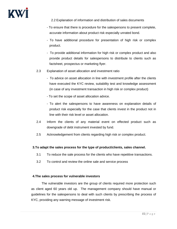

2.2 Explanation of information and distribution of sales documents

- To ensure that there is procedure for the salespersons to present complete, accurate information about product risk especially unrated bond.
- To have additional procedure for presentation of high risk or complex product.
- To provide additional information for high risk or complex product and also provide product details for salespersons to distribute to clients such as factsheet, prospectus or marketing flyer.
- 2.3 Explanation of asset allocation and investment ratio
	- To advice on asset allocation in line with investment profile after the clients have executed the KYC review, suitability test and knowledge assessment (in case of any investment transaction in high risk or complex product)
	- To set the scope of asset allocation advice.
	- To alert the salespersons to have awareness on explanation details of product risk especially for the case that clients invest in the product not in line with their risk level or asset allocation.
- 2.4 Inform the clients of any material event on effected product such as downgrade of debt instrument invested by fund.
- 2.5 Acknowledgement from clients regarding high risk or complex product.

# **3.To adapt the sales process for the type of product/clients, sales channel.**

- 3.1 To reduce the sale process for the clients who have repetitive transactions.
- 3.2 To control and review the online sale and service process

# **4.The sales process for vulnerable investors**

The vulnerable investors are the group of clients required more protection such as client aged 60 years old up. The management company should have manual or guidelines for the salespersons to deal with such clients by prescribing the process of KYC, providing any warning message of investment risk.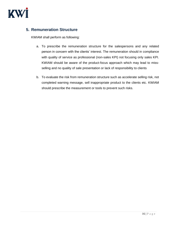

# <span id="page-17-0"></span>**5. Remuneration Structure**

KWIAM shall perform as following:

- a. To prescribe the remuneration structure for the salespersons and any related person in concern with the clients' interest. The remuneration should in compliance with quality of service as professional (non-sales KPI) not focusing only sales KPI. KWIAM should be aware of the product-focus approach which may lead to missselling and no quality of sale presentation or lack of responsibility to clients
- b. To evaluate the risk from remuneration structure such as accelerate selling risk, not completed warning message, sell inappropriate product to the clients etc. KWIAM should prescribe the measurement or tools to prevent such risks.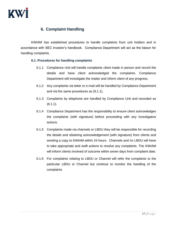

# <span id="page-18-0"></span>**6. Complaint Handling**

KWIAM has established procedures to handle complaints from unit holders and in accordance with SEC investor's handbook. Compliance Department will act as the liaison for handling complaints.

# **6.1. Procedures for handling complaints**

- 6.1.1 Compliance Unit will handle complaints client made in person and record the details and have client acknowledged the complaints. Compliance Department will investigate the matter and inform client of any progress.
- 6.1.2 Any complaints via letter or e-mail will be handled by Compliance Department and via the same procedures as (6.1.1).
- 6.1.3 Complaints by telephone are handled by Compliance Unit and recorded as (6.1.1).
- 6.1.4 Compliance Department has the responsibility to ensure client acknowledges the complaints (with signature) before proceeding with any investigative actions.
- 6.1.5 Complaints made via channels or LBDU they will be responsible for recording the details and obtaining acknowledgement (with signature) from clients and sending a copy to KWIAM within 24 hours. Channels and /or LBDU will have to take appropriate and swift actions to resolve any complaints. The KWIAM will inform clients involved of outcome within seven days from complaint date.
- 6.1.6 For complaints relating to LBDU or Channel will refer the complaints to the particular LBDU or Channel but continue to monitor the handling of the complaints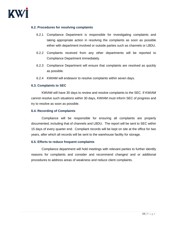# **6.2. Procedures for resolving complaints**

- 6.2.1 Compliance Department is responsible for investigating complaints and taking appropriate action in resolving the complaints as soon as possible either with department involved or outside parties such as channels or LBDU.
- 6.2.2 Complaints received from any other departments will be reported to Compliance Department immediately.
- 6.2.3 Compliance Department will ensure that complaints are resolved as quickly as possible.
- 6.2.4 KWIAM will endeavor to resolve complaints within seven days.

# **6.3. Complaints to SEC**

KWIAM will have 30 days to review and resolve complaints to the SEC. If KWIAM cannot resolve such situations within 30 days, KWIAM must inform SEC of progress and try to resolve as soon as possible.

# **6.4. Recording of Complaints**

Compliance will be responsible for ensuring all complaints are properly documented, including that of channels and LBDU. The report will be sent to SEC within 15 days of every quarter end. Compliant records will be kept on site at the office for two years, after which all records will be sent to the warehouse facility for storage.

# **6.5. Efforts to reduce frequent complaints**

Compliance department will hold meetings with relevant parties to further identify reasons for complaints and consider and recommend changes/ and or additional procedures to address areas of weakness and reduce client complaints.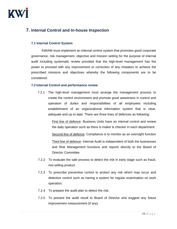

# <span id="page-20-0"></span>**7. Internal Control and In-house Inspection**

## **7.1 Internal Control System**

KWIAM must implement an internal control system that promotes good corporate governance, risk management, objective and mission setting for the purpose of internal audit including systematic review provided that the high-level management has the power to proceed with any improvement or correction of any mistakes to achieve the prescribed missions and objectives whereby the following components are to be considered.

## **7.2 Internal Control and performance review**

7.2.1 The high-level management must arrange the management process to create the control environment and promote good awareness in control and operation of duties and responsibilities of all employees including establishment of an organizational information system that is clear, adequate and up to date. There are three lines of defences as following:

> First line of defence: Business Units have an internal control and review the daily operation such as there is maker & checker in each department.

> Second line of defence: Compliance is to monitor as an oversight function

Third line of defence: Internal Audit is independent of both the businesses and Risk Management functions and reports directly to the Board of Director Committee

- 7.2.2 To evaluate the sale process to detect the risk in early stage such as fraud, mis-selling product.
- 7.2.3 To prescribe preventive control to protect any risk which may occur and detective control such as having a system for regular examination on work operation.
- 7.2.4 To prepare the audit plan to detect the risk.
- 7.2.5 To present the audit result to Board of Director and suggest any future improvement measurement (if any)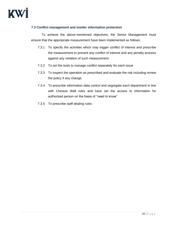# **7.3 Conflict management and insider information protection**

To achieve the above-mentioned objectives, the Senior Management must ensure that the appropriate measurement have been implemented as follows:

- 7.3.1 To specify the activities which may trigger conflict of interest and prescribe the measurement to prevent any conflict of interest and any penalty process against any violation of such measurement.
- 7.3.2 To set the tools to manage conflict separately for each issue
- 7.3.3 To inspect the operation as prescribed and evaluate the risk including review the policy if any change.
- 7.3.4 To prescribe information data control and segregate each department in line with Chinese Wall rules and have set the access to information for authorized person on the basis of "need to know"
- 7.3.5 To prescribe staff dealing rules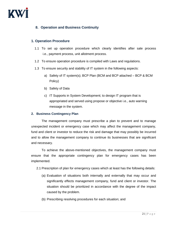

# <span id="page-22-0"></span>**8. Operation and Business Continuity**

# **1. Operation Procedure**

- 1.1 To set up operation procedure which clearly identifies after sale process i.e., payment process, unit allotment process.
- 1.2 To ensure operation procedure is compiled with Laws and regulations.
- 1.3 To ensure security and stability of IT system in the following aspects:
	- a) Safety of IT system(s); BCP Plan (BCM and BCP attached BCP & BCM Policy)
	- b) Safety of Data
	- c) IT Supports in System Development; to design IT program that is appropriated and served using propose or objective i.e., auto warning message in the system.

## **2. Business Contingency Plan**

The management company must prescribe a plan to prevent and to manage unexpected incident or emergency case which may affect the management company, fund and client or investor to reduce the risk and damage that may possibly be incurred and to allow the management company to continue its businesses that are significant and necessary.

To achieve the above-mentioned objectives, the management company must ensure that the appropriate contingency plan for emergency cases has been implemented.

2.1 Prescription of plan for emergency cases which at least has the following details:

- (a) Evaluation of situations both internally and externally that may occur and significantly effects management company, fund and client or investor. The situation should be prioritized in accordance with the degree of the impact caused by the problem.
- (b) Prescribing resolving procedures for each situation; and